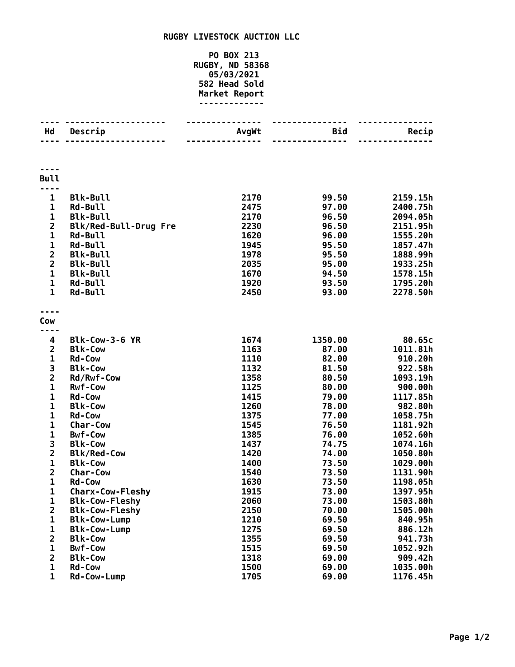## **RUGBY LIVESTOCK AUCTION LLC**

## **PO BOX 213 RUGBY, ND 58368 05/03/2021 Head Sold Market Report -------------**

| Hd                      | <u>.</u><br>Descrip             | AvgWt<br>--------------- | Bid<br><u></u> | Recip              |
|-------------------------|---------------------------------|--------------------------|----------------|--------------------|
|                         |                                 |                          |                |                    |
| <b>Bull</b>             |                                 |                          |                |                    |
| $\mathbf 1$             | <b>Blk-Bull</b>                 | 2170                     | 99.50          | 2159.15h           |
| $\mathbf 1$             | <b>Rd-Bull</b>                  | 2475                     | 97.00          | 2400.75h           |
| $\mathbf 1$             | <b>Blk-Bull</b>                 | 2170                     | 96.50          | 2094.05h           |
| $\overline{\mathbf{2}}$ | Blk/Red-Bull-Drug Fre           | 2230                     | 96.50          | 2151.95h           |
| $\mathbf{1}$            | <b>Rd-Bull</b>                  | 1620                     | 96.00          | 1555.20h           |
| $\mathbf 1$             | <b>Rd-Bull</b>                  | 1945                     | 95.50          | 1857.47h           |
| $\mathbf{2}$            | <b>Blk-Bull</b>                 | 1978                     | 95.50          | 1888.99h           |
| $\overline{\mathbf{c}}$ | <b>Blk-Bull</b>                 | 2035                     | 95.00          | 1933.25h           |
| $\mathbf{1}$            | <b>Blk-Bull</b>                 | 1670                     | 94.50          | 1578.15h           |
| $\mathbf{1}$            | <b>Rd-Bull</b>                  | 1920                     | 93.50          | 1795.20h           |
| $\mathbf{1}$            | <b>Rd-Bull</b>                  | 2450                     | 93.00          | 2278.50h           |
|                         |                                 |                          |                |                    |
| Cow                     |                                 |                          |                |                    |
|                         |                                 |                          |                |                    |
| 4                       | Blk-Cow-3-6 YR                  | 1674                     | 1350.00        | 80.65c             |
| $\overline{\mathbf{c}}$ | <b>Blk-Cow</b>                  | 1163                     | 87.00          | 1011.81h           |
| $\mathbf 1$             | <b>Rd-Cow</b><br><b>Blk-Cow</b> | 1110<br>1132             | 82.00<br>81.50 | 910.20h<br>922.58h |
| $\frac{3}{2}$           | Rd/Rwf-Cow                      | 1358                     | 80.50          | 1093.19h           |
| $\mathbf 1$             | <b>Rwf-Cow</b>                  | 1125                     | 80.00          | 900.00h            |
| $\mathbf 1$             | <b>Rd-Cow</b>                   | 1415                     | 79.00          | 1117.85h           |
| 1                       | <b>Blk-Cow</b>                  | 1260                     | 78.00          | 982.80h            |
| $\mathbf 1$             | <b>Rd-Cow</b>                   | 1375                     | 77.00          | 1058.75h           |
| 1                       | Char-Cow                        | 1545                     | 76.50          | 1181.92h           |
| $\mathbf 1$             | <b>Bwf-Cow</b>                  | 1385                     | 76.00          | 1052.60h           |
|                         | <b>Blk-Cow</b>                  | 1437                     | 74.75          | 1074.16h           |
| $\frac{3}{2}$           | <b>Blk/Red-Cow</b>              | 1420                     | 74.00          | 1050.80h           |
| $\mathbf{1}$            | <b>Blk-Cow</b>                  | 1400                     | 73.50          | 1029.00h           |
| $\overline{\mathbf{2}}$ | <b>Char-Cow</b>                 | 1540                     | 73.50          | 1131.90h           |
| $\mathbf 1$             | <b>Rd-Cow</b>                   | 1630                     | 73.50          | 1198.05h           |
| 1                       | <b>Charx-Cow-Fleshy</b>         | 1915                     | 73.00          | 1397.95h           |
| 1                       | <b>Blk-Cow-Fleshy</b>           | 2060                     | 73.00          | 1503.80h           |
| $\overline{2}$          | <b>Blk-Cow-Fleshy</b>           | 2150                     | 70.00          | 1505.00h           |
| 1                       | <b>Blk-Cow-Lump</b>             | 1210                     | 69.50          | 840.95h            |
| 1                       | <b>Blk-Cow-Lump</b>             | 1275                     | 69.50          | 886.12h            |
| $\mathbf{2}$            | <b>Blk-Cow</b>                  | 1355                     | 69.50          | 941.73h            |
| 1                       | <b>Bwf-Cow</b>                  | 1515                     | 69.50          | 1052.92h           |
| 2                       | <b>Blk-Cow</b>                  | 1318                     | 69.00          | 909.42h            |
| 1                       | <b>Rd-Cow</b>                   | 1500                     | 69.00          | 1035.00h           |
| 1                       | Rd-Cow-Lump                     | 1705                     | 69.00          | 1176.45h           |